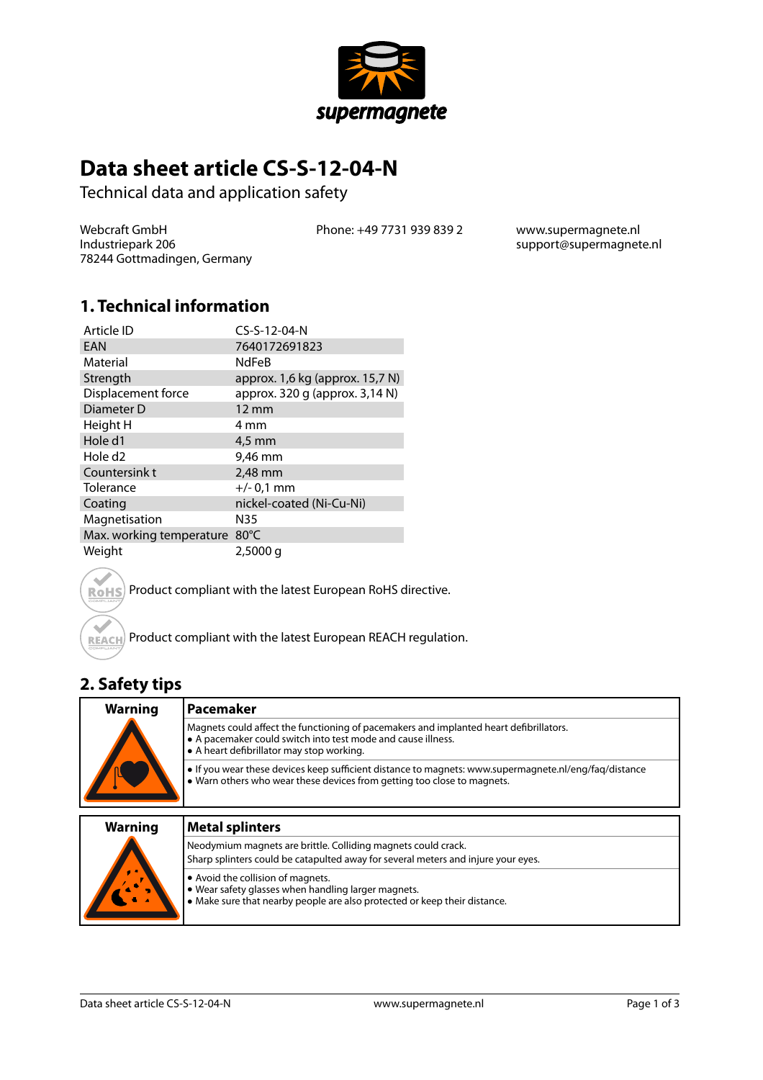

# **Data sheet article CS-S-12-04-N**

Technical data and application safety

Webcraft GmbH Industriepark 206 78244 Gottmadingen, Germany Phone: +49 7731 939 839 2 www.supermagnete.nl

support@supermagnete.nl

#### **1. Technical information**

| Article ID               | CS-S-12-04-N                    |
|--------------------------|---------------------------------|
| EAN                      | 7640172691823                   |
| Material                 | <b>NdFeB</b>                    |
| Strength                 | approx. 1,6 kg (approx. 15,7 N) |
| Displacement force       | approx. 320 g (approx. 3,14 N)  |
| Diameter D               | $12 \text{ mm}$                 |
| Height H                 | 4 mm                            |
| Hole d1                  | 4,5 mm                          |
| Hole d <sub>2</sub>      | 9,46 mm                         |
| Countersink t            | 2,48 mm                         |
| Tolerance                | $+/- 0.1$ mm                    |
| Coating                  | nickel-coated (Ni-Cu-Ni)        |
| Magnetisation            | N35                             |
| Max. working temperature | $80^{\circ}$ C                  |
| Weight                   | $2,5000$ q                      |



Product compliant with the latest European RoHS directive.

Product compliant with the latest European REACH regulation.

### **2. Safety tips**

| <b>Warning</b> | Pacemaker                                                                                                                                                                                           |
|----------------|-----------------------------------------------------------------------------------------------------------------------------------------------------------------------------------------------------|
|                | Magnets could affect the functioning of pacemakers and implanted heart defibrillators.<br>• A pacemaker could switch into test mode and cause illness.<br>• A heart defibrillator may stop working. |
|                | • If you wear these devices keep sufficient distance to magnets: www.supermagnete.nl/eng/fag/distance<br>• Warn others who wear these devices from getting too close to magnets.                    |

| <b>Warning</b> | <b>Metal splinters</b>                                                                                                                                                |
|----------------|-----------------------------------------------------------------------------------------------------------------------------------------------------------------------|
|                | Neodymium magnets are brittle. Colliding magnets could crack.<br>Sharp splinters could be catapulted away for several meters and injure your eyes.                    |
|                | • Avoid the collision of magnets.<br>. Wear safety glasses when handling larger magnets.<br>• Make sure that nearby people are also protected or keep their distance. |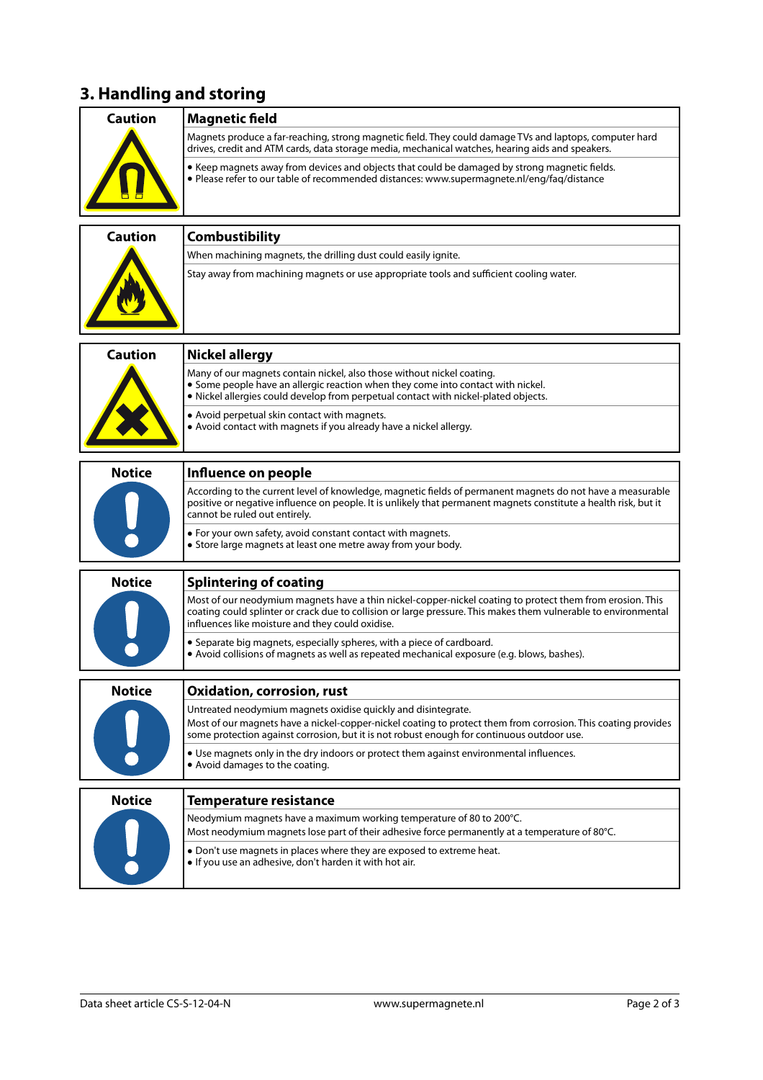## **3. Handling and storing**

| <b>Caution</b> | <b>Magnetic field</b>                                                                                                                                                                                                                                                                  |
|----------------|----------------------------------------------------------------------------------------------------------------------------------------------------------------------------------------------------------------------------------------------------------------------------------------|
|                | Magnets produce a far-reaching, strong magnetic field. They could damage TVs and laptops, computer hard<br>drives, credit and ATM cards, data storage media, mechanical watches, hearing aids and speakers.                                                                            |
|                | • Keep magnets away from devices and objects that could be damaged by strong magnetic fields.<br>• Please refer to our table of recommended distances: www.supermagnete.nl/eng/fag/distance                                                                                            |
| <b>Caution</b> |                                                                                                                                                                                                                                                                                        |
|                | <b>Combustibility</b>                                                                                                                                                                                                                                                                  |
|                | When machining magnets, the drilling dust could easily ignite.<br>Stay away from machining magnets or use appropriate tools and sufficient cooling water.                                                                                                                              |
| <b>Caution</b> | <b>Nickel allergy</b>                                                                                                                                                                                                                                                                  |
|                | Many of our magnets contain nickel, also those without nickel coating.<br>• Some people have an allergic reaction when they come into contact with nickel.<br>. Nickel allergies could develop from perpetual contact with nickel-plated objects.                                      |
|                | • Avoid perpetual skin contact with magnets.<br>• Avoid contact with magnets if you already have a nickel allergy.                                                                                                                                                                     |
|                |                                                                                                                                                                                                                                                                                        |
| <b>Notice</b>  | Influence on people<br>According to the current level of knowledge, magnetic fields of permanent magnets do not have a measurable<br>positive or negative influence on people. It is unlikely that permanent magnets constitute a health risk, but it<br>cannot be ruled out entirely. |
|                | • For your own safety, avoid constant contact with magnets.<br>• Store large magnets at least one metre away from your body.                                                                                                                                                           |
| <b>Notice</b>  | <b>Splintering of coating</b>                                                                                                                                                                                                                                                          |
|                | Most of our neodymium magnets have a thin nickel-copper-nickel coating to protect them from erosion. This<br>coating could splinter or crack due to collision or large pressure. This makes them vulnerable to environmental<br>influences like moisture and they could oxidise.       |
|                | • Separate big magnets, especially spheres, with a piece of cardboard.<br>• Avoid collisions of magnets as well as repeated mechanical exposure (e.g. blows, bashes).                                                                                                                  |
| <b>Notice</b>  | <b>Oxidation, corrosion, rust</b>                                                                                                                                                                                                                                                      |
|                | Untreated neodymium magnets oxidise quickly and disintegrate.<br>Most of our magnets have a nickel-copper-nickel coating to protect them from corrosion. This coating provides<br>some protection against corrosion, but it is not robust enough for continuous outdoor use.           |
|                | • Use magnets only in the dry indoors or protect them against environmental influences.<br>• Avoid damages to the coating.                                                                                                                                                             |
| <b>Notice</b>  | <b>Temperature resistance</b>                                                                                                                                                                                                                                                          |
|                | Neodymium magnets have a maximum working temperature of 80 to 200°C.                                                                                                                                                                                                                   |
|                | Most neodymium magnets lose part of their adhesive force permanently at a temperature of 80°C.                                                                                                                                                                                         |
|                | • Don't use magnets in places where they are exposed to extreme heat.<br>• If you use an adhesive, don't harden it with hot air.                                                                                                                                                       |